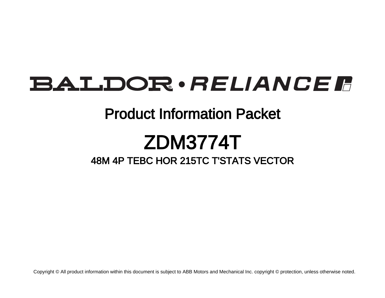## BALDOR · RELIANCE F

### Product Information Packet

# ZDM3774T

#### 48M 4P TEBC HOR 215TC T'STATS VECTOR

Copyright © All product information within this document is subject to ABB Motors and Mechanical Inc. copyright © protection, unless otherwise noted.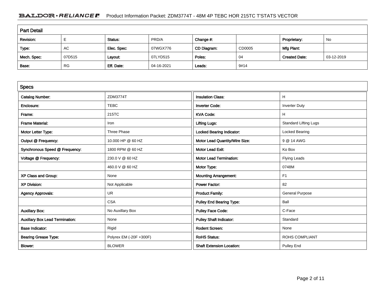#### BALDOR · RELIANCE F Product Information Packet: ZDM3774T - 48M 4P TEBC HOR 215TC T'STATS VECTOR

| <b>Part Detail</b>                                               |           |             |            |             |        |                      |            |  |
|------------------------------------------------------------------|-----------|-------------|------------|-------------|--------|----------------------|------------|--|
| PRD/A<br>Revision:<br>Change #:<br>No<br>Status:<br>Proprietary: |           |             |            |             |        |                      |            |  |
| Type:                                                            | AC        | Elec. Spec: | 07WGX776   | CD Diagram: | CD0005 | Mfg Plant:           |            |  |
| Mech. Spec:                                                      | 07D515    | Layout:     | 07LYD515   | Poles:      | 04     | <b>Created Date:</b> | 03-12-2019 |  |
| Base:                                                            | <b>RG</b> | Eff. Date:  | 04-16-2021 | Leads:      | 9#14   |                      |            |  |

| <b>Specs</b>                           |                         |                                  |                              |
|----------------------------------------|-------------------------|----------------------------------|------------------------------|
| <b>Catalog Number:</b>                 | ZDM3774T                | <b>Insulation Class:</b>         | H.                           |
| Enclosure:                             | <b>TEBC</b>             | <b>Inverter Code:</b>            | <b>Inverter Duty</b>         |
| Frame:                                 | 215TC                   | <b>KVA Code:</b>                 | H                            |
| <b>Frame Material:</b>                 | Iron                    | <b>Lifting Lugs:</b>             | <b>Standard Lifting Lugs</b> |
| Motor Letter Type:                     | Three Phase             | Locked Bearing Indicator:        | Locked Bearing               |
| Output @ Frequency:                    | 10.000 HP @ 60 HZ       | Motor Lead Quantity/Wire Size:   | 9 @ 14 AWG                   |
| Synchronous Speed @ Frequency:         | 1800 RPM @ 60 HZ        | <b>Motor Lead Exit:</b>          | Ko Box                       |
| Voltage @ Frequency:                   | 230.0 V @ 60 HZ         | <b>Motor Lead Termination:</b>   | <b>Flying Leads</b>          |
|                                        | 460.0 V @ 60 HZ         | Motor Type:                      | 0748M                        |
| XP Class and Group:                    | None                    | <b>Mounting Arrangement:</b>     | F1                           |
| <b>XP Division:</b>                    | Not Applicable          | <b>Power Factor:</b>             | 82                           |
| <b>Agency Approvals:</b>               | <b>UR</b>               | <b>Product Family:</b>           | <b>General Purpose</b>       |
|                                        | <b>CSA</b>              | Pulley End Bearing Type:         | Ball                         |
| <b>Auxillary Box:</b>                  | No Auxillary Box        | <b>Pulley Face Code:</b>         | C-Face                       |
| <b>Auxillary Box Lead Termination:</b> | None                    | <b>Pulley Shaft Indicator:</b>   | Standard                     |
| <b>Base Indicator:</b>                 | Rigid                   | <b>Rodent Screen:</b>            | None                         |
| <b>Bearing Grease Type:</b>            | Polyrex EM (-20F +300F) | <b>RoHS Status:</b>              | <b>ROHS COMPLIANT</b>        |
| <b>Blower:</b>                         | <b>BLOWER</b>           | <b>Shaft Extension Location:</b> | <b>Pulley End</b>            |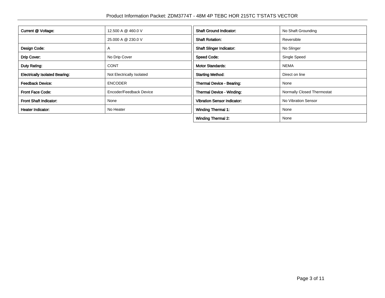| Current @ Voltage:                    | 12.500 A @ 460.0 V        | <b>Shaft Ground Indicator:</b>     | No Shaft Grounding         |
|---------------------------------------|---------------------------|------------------------------------|----------------------------|
|                                       | 25,000 A @ 230.0 V        | <b>Shaft Rotation:</b>             | Reversible                 |
| Design Code:                          | $\mathsf{A}$              | <b>Shaft Slinger Indicator:</b>    | No Slinger                 |
| Drip Cover:                           | No Drip Cover             | <b>Speed Code:</b>                 | Single Speed               |
| Duty Rating:                          | <b>CONT</b>               | <b>Motor Standards:</b>            | <b>NEMA</b>                |
| <b>Electrically Isolated Bearing:</b> | Not Electrically Isolated | <b>Starting Method:</b>            | Direct on line             |
| <b>Feedback Device:</b>               | <b>ENCODER</b>            | Thermal Device - Bearing:          | None                       |
| <b>Front Face Code:</b>               | Encoder/Feedback Device   | Thermal Device - Winding:          | Normally Closed Thermostat |
| Front Shaft Indicator:                | None                      | <b>Vibration Sensor Indicator:</b> | No Vibration Sensor        |
| <b>Heater Indicator:</b>              | No Heater                 | <b>Winding Thermal 1:</b>          | None                       |
|                                       |                           | <b>Winding Thermal 2:</b>          | None                       |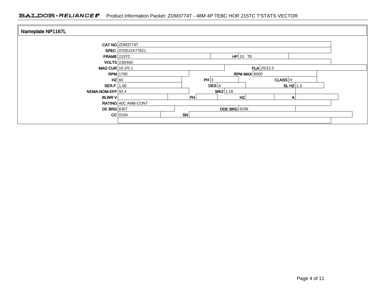#### BALDOR · RELIANCE F Product Information Packet: ZDM3774T - 48M 4P TEBC HOR 215TC T'STATS VECTOR

| Nameplate NP1167L  |                     |    |                     |               |            |  |
|--------------------|---------------------|----|---------------------|---------------|------------|--|
|                    | CAT NO ZDM3774T     |    |                     |               |            |  |
|                    | SPEC. 07D515X776Z1  |    |                     |               |            |  |
| FRAME 215TC        |                     |    |                     | $HP$ 10 TE    |            |  |
|                    | VOLTS 230/460       |    |                     |               |            |  |
| MAG CUR 10.2/5.1   |                     |    |                     | $FLA$ 25/12.5 |            |  |
|                    | $RPM$ 1760          |    | <b>RPM MAX 6000</b> |               |            |  |
| $HZ$ 60            |                     |    | PH 3                | CLASS H       |            |  |
| SER.F. $1.00$      |                     |    | DES A               |               | SLHZ $1.3$ |  |
| NEMA-NOM-EFF 92.4  |                     |    | $WK2$ 1.18          |               |            |  |
| <b>BLWR V</b>      |                     | PH |                     | HZ            | Α          |  |
|                    | RATING 40C AMB-CONT |    |                     |               |            |  |
| <b>DE BRG</b> 6307 |                     |    | <b>ODE BRG</b> 6206 |               |            |  |
|                    | $CC$ 010A           | SN |                     |               |            |  |
|                    |                     |    |                     |               |            |  |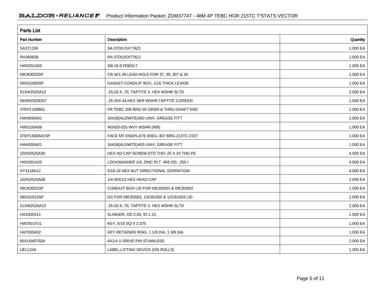| <b>Parts List</b>  |                                            |          |  |  |  |  |
|--------------------|--------------------------------------------|----------|--|--|--|--|
| <b>Part Number</b> | Description                                | Quantity |  |  |  |  |
| SA371158           | SA 07D515X776Z1                            | 1.000 EA |  |  |  |  |
| RA360838           | RA 07D515X776Z1                            | 1.000 EA |  |  |  |  |
| HW3201A05          | 3/8-16 EYEBOLT                             | 1.000 EA |  |  |  |  |
| 09CB3002SP         | CB W/1.38 LEAD HOLE FOR 37, 39, 307 & 30   | 1.000 EA |  |  |  |  |
| 09GS1000SP         | GASKET-CONDUIT BOX, 1/16 THICK LEXIDE      | 1.000 EA |  |  |  |  |
| 51XW2520A12        | .25-20 X .75, TAPTITE II, HEX WSHR SLTD    | 2.000 EA |  |  |  |  |
| 59XW2520G07        | .25-20X.44, HEX SER WSHR, TAPTITE 2, GREEN | 1.000 EA |  |  |  |  |
| 37EP1100B61        | FR TEBC 206 BRG W/ GRSR & THRU-SHAFT ENC   | 1.000 EA |  |  |  |  |
| HW4500A01          | 1641B(ALEMITE)400 UNIV, GREASE FITT        | 1.000 EA |  |  |  |  |
| HW5100A06          | W2420-025 WVY WSHR (WB)                    | 1.000 EA |  |  |  |  |
| 37EP1300A01SP      | FACE MT ENDPLATE-ENCL-307 BRG-213TC-215T   | 1.000 EA |  |  |  |  |
| HW4500A01          | 1641B(ALEMITE)400 UNIV, GREASE FITT        | 1.000 EA |  |  |  |  |
| 10XN2520A30        | HEX HD CAP SCREW-STD THD-.25 X 20 THD PE   | 4.000 EA |  |  |  |  |
| HW1001A25          | LOCKWASHER 1/4, ZINC PLT .493 OD, .255 I   | 4.000 EA |  |  |  |  |
| XY3118A12          | 5/16-18 HEX NUT DIRECTIONAL SERRATION      | 4.000 EA |  |  |  |  |
| 10XN2520A08        | 1/4-20X1/2 HEX HEAD CAP                    | 2.000 EA |  |  |  |  |
| 09CB3501SP         | CONDUIT BOX LID FOR 09CB3001 & 09CB3002    | 1.000 EA |  |  |  |  |
| 09GS1013SP         | GS FOR 09CB3501, 12CB1500 & 12CB1503 LID   | 1.000 EA |  |  |  |  |
| 51XW2520A12        | .25-20 X .75, TAPTITE II, HEX WSHR SLTD    | 2.000 EA |  |  |  |  |
| HA1005A11          | SLINGER, OD 2.00, ID 1.15,                 | 1.000 EA |  |  |  |  |
| HW2501F21          | KEY, 5/16 SQ X 2.375                       | 1.000 EA |  |  |  |  |
| HA7000A02          | KEY RETAINER RING, 1 1/8 DIA, 1 3/8 DIA    | 1.000 EA |  |  |  |  |
| 85XU0407S04        | 4X1/4 U DRIVE PIN STAINLESS                | 2.000 EA |  |  |  |  |
| LB1115N            | LABEL, LIFTING DEVICE (ON ROLLS)           | 1.000 EA |  |  |  |  |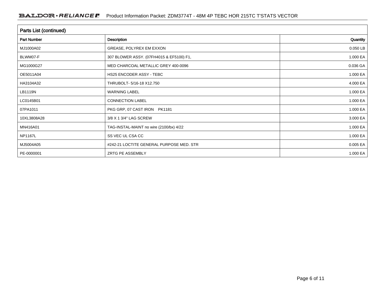| Parts List (continued) |                                          |          |  |  |  |  |
|------------------------|------------------------------------------|----------|--|--|--|--|
| <b>Part Number</b>     | Description                              | Quantity |  |  |  |  |
| MJ1000A02              | GREASE, POLYREX EM EXXON                 | 0.050 LB |  |  |  |  |
| BLWM07-F               | 307 BLOWER ASSY. (07FH4015 & EF5100) F1, | 1.000 EA |  |  |  |  |
| MG1000G27              | MED CHARCOAL METALLIC GREY 400-0096      | 0.036 GA |  |  |  |  |
| OE5011A04              | HS25 ENCODER ASSY - TEBC                 | 1.000 EA |  |  |  |  |
| HA3104A32              | THRUBOLT- 5/16-18 X12.750                | 4.000 EA |  |  |  |  |
| LB1119N                | <b>WARNING LABEL</b>                     | 1.000 EA |  |  |  |  |
| LC0145B01              | <b>CONNECTION LABEL</b>                  | 1.000 EA |  |  |  |  |
| 07PA1011               | PKG GRP, 07 CAST IRON PK1181             | 1.000 EA |  |  |  |  |
| 10XL3808A28            | 3/8 X 1 3/4" LAG SCREW                   | 3.000 EA |  |  |  |  |
| MN416A01               | TAG-INSTAL-MAINT no wire (2100/bx) 4/22  | 1.000 EA |  |  |  |  |
| NP1167L                | SS VEC UL CSA CC                         | 1.000 EA |  |  |  |  |
| MJ5004A05              | #242-21 LOCTITE GENERAL PURPOSE MED. STR | 0.005 EA |  |  |  |  |
| PE-0000001             | ZRTG PE ASSEMBLY                         | 1.000 EA |  |  |  |  |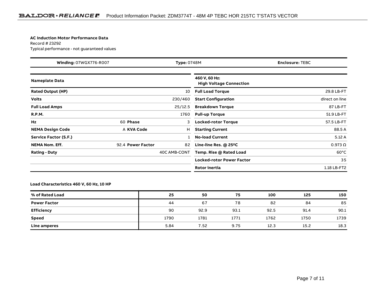#### **AC Induction Motor Performance Data**

Record # 23292Typical performance - not guaranteed values

| Winding: 07WGX776-R007<br><b>Type: 0748M</b> |                   |              | <b>Enclosure: TEBC</b>                          |                |
|----------------------------------------------|-------------------|--------------|-------------------------------------------------|----------------|
| <b>Nameplate Data</b>                        |                   |              | 460 V, 60 Hz:<br><b>High Voltage Connection</b> |                |
| <b>Rated Output (HP)</b>                     |                   | 10           | <b>Full Load Torque</b>                         | 29.8 LB-FT     |
| <b>Volts</b>                                 |                   | 230/460      | <b>Start Configuration</b>                      | direct on line |
| <b>Full Load Amps</b>                        |                   | 25/12.5      | <b>Breakdown Torque</b>                         | 87 LB-FT       |
| <b>R.P.M.</b>                                |                   | 1760         | <b>Pull-up Torque</b>                           | 51.9 LB-FT     |
| Hz                                           | 60 Phase          | 3            | <b>Locked-rotor Torque</b>                      | 57.5 LB-FT     |
| <b>NEMA Design Code</b>                      | A KVA Code        | н            | <b>Starting Current</b>                         | 88.5 A         |
| Service Factor (S.F.)                        |                   |              | <b>No-load Current</b>                          | 5.12A          |
| <b>NEMA Nom. Eff.</b>                        | 92.4 Power Factor | 82           | Line-line Res. @ 25°C                           | $0.973 \Omega$ |
| <b>Rating - Duty</b>                         |                   | 40C AMB-CONT | Temp. Rise @ Rated Load                         | $60^{\circ}$ C |
|                                              |                   |              | <b>Locked-rotor Power Factor</b>                | 35             |
|                                              |                   |              | Rotor inertia                                   | 1.18 LB-FT2    |

#### **Load Characteristics 460 V, 60 Hz, 10 HP**

| % of Rated Load     | 25   | 50   | 75   | 100  | 125  | 150  |
|---------------------|------|------|------|------|------|------|
| <b>Power Factor</b> | 44   | 67   | 78   | 82   | 84   | 85   |
| <b>Efficiency</b>   | 90   | 92.9 | 93.1 | 92.5 | 91.4 | 90.1 |
| <b>Speed</b>        | 1790 | 1781 | 1771 | 1762 | 1750 | 1739 |
| <b>Line amperes</b> | 5.84 | 7.52 | 9.75 | 12.3 | 15.2 | 18.3 |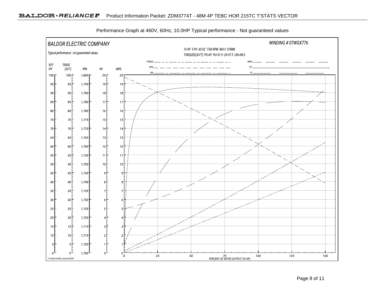

Performance Graph at 460V, 60Hz, 10.0HP Typical performance - Not guaranteed values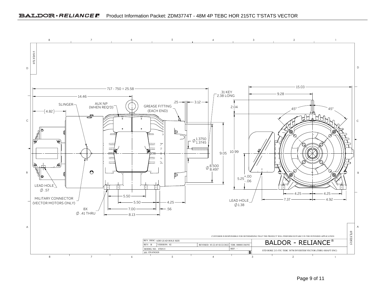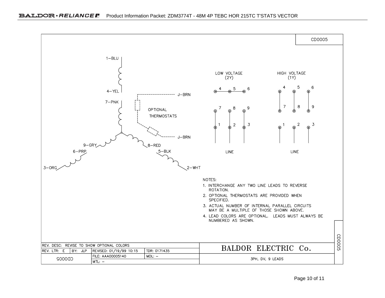